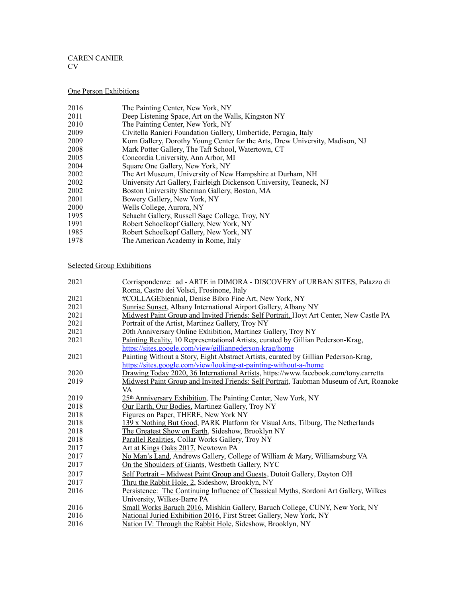#### CAREN CANIER CV

### One Person Exhibitions

| 2016 | The Painting Center, New York, NY |  |  |
|------|-----------------------------------|--|--|
|      |                                   |  |  |

- 2011 Deep Listening Space, Art on the Walls, Kingston NY<br>2010 The Painting Center, New York, NY
- 2010 The Painting Center, New York, NY<br>2009 Civitella Ranieri Foundation Gallery
- Civitella Ranieri Foundation Gallery, Umbertide, Perugia, Italy
- 2009 Korn Gallery, Dorothy Young Center for the Arts, Drew University, Madison, NJ
- 2008 Mark Potter Gallery, The Taft School, Watertown, CT<br>2005 Concordia University, Ann Arbor, MI
- 2005 Concordia University, Ann Arbor, MI<br>2004 Square One Gallery, New York, NY
- 2004 Square One Gallery, New York, NY<br>2002 The Art Museum, University of New
- 2002 The Art Museum, University of New Hampshire at Durham, NH<br>2002 University Art Gallery, Fairleigh Dickenson University, Teaneck,
- University Art Gallery, Fairleigh Dickenson University, Teaneck, NJ
- 2002 Boston University Sherman Gallery, Boston, MA
- 2001 Bowery Gallery, New York, NY<br>2000 Wells College. Aurora, NY
- 2000 Wells College, Aurora, NY<br>1995 Schacht Gallery, Russell Sa
- 1995 Schacht Gallery, Russell Sage College, Troy, NY<br>1991 Robert Schoelkopf Gallery, New York, NY
- 1991 Robert Schoelkopf Gallery, New York, NY<br>1985 Robert Schoelkopf Gallery, New York, NY
- Robert Schoelkopf Gallery, New York, NY
- 1978 The American Academy in Rome, Italy

### Selected Group Exhibitions

| 2021 | Corrispondenze: ad - ARTE in DIMORA - DISCOVERY of URBAN SITES, Palazzo di             |
|------|----------------------------------------------------------------------------------------|
|      | Roma, Castro dei Volsci, Frosinone, Italy                                              |
| 2021 | #COLLAGEbiennial, Denise Bibro Fine Art, New York, NY                                  |
| 2021 | Sunrise Sunset, Albany International Airport Gallery, Albany NY                        |
| 2021 | Midwest Paint Group and Invited Friends: Self Portrait, Hoyt Art Center, New Castle PA |
| 2021 | Portrait of the Artist, Martinez Gallery, Troy NY                                      |
| 2021 | 20th Anniversary Online Exhibition, Martinez Gallery, Troy NY                          |
| 2021 | Painting Reality, 10 Representational Artists, curated by Gillian Pederson-Krag,       |
|      | https://sites.google.com/view/gillianpederson-krag/home                                |
| 2021 | Painting Without a Story, Eight Abstract Artists, curated by Gillian Pederson-Krag,    |
|      | https://sites.google.com/view/looking-at-painting-without-a-/home                      |
| 2020 | Drawing Today 2020, 36 International Artists, https://www.facebook.com/tony.carretta   |
| 2019 | Midwest Paint Group and Invited Friends: Self Portrait, Taubman Museum of Art, Roanoke |
|      | VA                                                                                     |
| 2019 | 25th Anniversary Exhibition, The Painting Center, New York, NY                         |
| 2018 | Our Earth, Our Bodies, Martinez Gallery, Troy NY                                       |
| 2018 | Figures on Paper, THERE, New York NY                                                   |
| 2018 | 139 x Nothing But Good, PARK Platform for Visual Arts, Tilburg, The Netherlands        |
| 2018 | The Greatest Show on Earth, Sideshow, Brooklyn NY                                      |
| 2018 | Parallel Realities, Collar Works Gallery, Troy NY                                      |
| 2017 | Art at Kings Oaks 2017, Newtown PA                                                     |
| 2017 | No Man's Land, Andrews Gallery, College of William & Mary, Williamsburg VA             |
| 2017 | On the Shoulders of Giants, Westbeth Gallery, NYC                                      |
| 2017 | Self Portrait – Midwest Paint Group and Guests, Dutoit Gallery, Dayton OH              |
| 2017 | Thru the Rabbit Hole, 2, Sideshow, Brooklyn, NY                                        |
| 2016 | Persistence: The Continuing Influence of Classical Myths, Sordoni Art Gallery, Wilkes  |
|      | University, Wilkes-Barre PA                                                            |
| 2016 | Small Works Baruch 2016, Mishkin Gallery, Baruch College, CUNY, New York, NY           |
| 2016 | National Juried Exhibition 2016, First Street Gallery, New York, NY                    |
| 2016 | Nation IV: Through the Rabbit Hole, Sideshow, Brooklyn, NY                             |
|      |                                                                                        |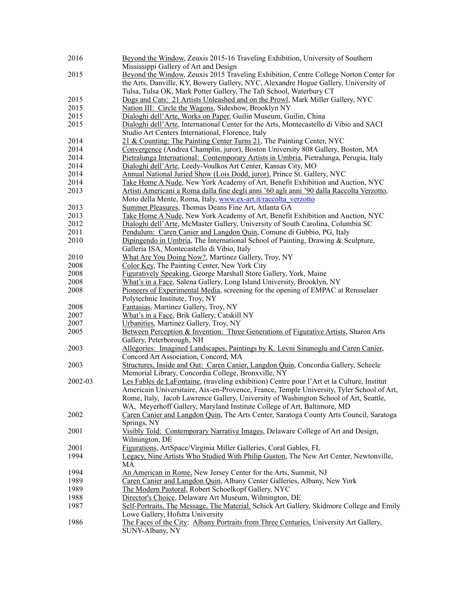| 2016    | Beyond the Window, Zeuxis 2015-16 Traveling Exhibition, University of Southern                           |
|---------|----------------------------------------------------------------------------------------------------------|
|         | Mississippi Gallery of Art and Design                                                                    |
| 2015    | Beyond the Window, Zeuxis 2015 Traveling Exhibition, Centre College Norton Center for                    |
|         | the Arts, Danville, KY, Bowery Gallery, NYC, Alexandre Hogue Gallery, University of                      |
|         | Tulsa, Tulsa OK, Mark Potter Gallery, The Taft School, Waterbury CT                                      |
| 2015    | Dogs and Cats: 21 Artists Unleashed and on the Prowl, Mark Miller Gallery, NYC                           |
| 2015    | Nation III: Circle the Wagons, Sideshow, Brooklyn NY                                                     |
| 2015    | Dialoghi dell'Arte, Works on Paper, Guilin Museum, Guilin, China                                         |
| 2015    | Dialoghi dell'Arte, International Center for the Arts, Montecastello di Vibio and SACI                   |
|         | Studio Art Centers International, Florence, Italy                                                        |
| 2014    | 21 & Counting: The Painting Center Turns 21, The Painting Center, NYC                                    |
| 2014    | Convergence (Andrea Champlin, juror), Boston University 808 Gallery, Boston, MA                          |
| 2014    | Pietralunga International: Contemporary Artists in Umbria, Pietralunga, Perugia, Italy                   |
| 2014    | Dialoghi dell'Arte, Leedy-Voulkos Art Center, Kansas City, MO                                            |
| 2014    | Annual National Juried Show (Lois Dodd, juror), Prince St. Gallery, NYC                                  |
| 2014    | Take Home A Nude, New York Academy of Art, Benefit Exhibition and Auction, NYC                           |
| 2013    | Artisti Americani a Roma dalla fine degli anni '60 agli anni '90 dalla Raccolta Verzotto,                |
|         | Moto della Mente, Roma, Italy, www.ex-art.it/raccolta verzotto                                           |
| 2013    | Summer Pleasures, Thomas Deans Fine Art, Atlanta GA                                                      |
| 2013    | Take Home A Nude, New York Academy of Art, Benefit Exhibition and Auction, NYC                           |
| 2012    | Dialoghi dell'Arte, McMaster Gallery, University of South Carolina, Columbia SC                          |
| 2011    | Pendulum: Caren Canier and Langdon Quin, Comune di Gubbio, PG, Italy                                     |
| 2010    | Dipingendo in Umbria, The International School of Painting, Drawing $&$ Sculpture,                       |
|         | Galleria ISA, Montecastello di Vibio, Italy                                                              |
| 2010    | What Are You Doing Now?, Martinez Gallery, Troy, NY                                                      |
| 2008    | Color Key, The Painting Center, New York City                                                            |
| 2008    | Figuratively Speaking, George Marshall Store Gallery, York, Maine                                        |
| 2008    | What's in a Face, Salena Gallery, Long Island University, Brooklyn, NY                                   |
| 2008    | Pioneers of Experimental Media, screening for the opening of EMPAC at Rensselaer                         |
|         | Polytechnic Institute, Troy, NY                                                                          |
| 2008    | Fantasias, Martinez Gallery, Troy, NY                                                                    |
| 2007    | What's in a Face, Brik Gallery, Catskill NY                                                              |
| 2007    | Urbanities, Martinez Gallery, Troy, NY                                                                   |
| 2005    | Between Perception & Invention: Three Generations of Figurative Artists, Sharon Arts                     |
|         | Gallery, Peterborough, NH                                                                                |
| 2003    | Allegories: Imagined Landscapes, Paintings by K. Levni Sinanoglu and Caren Canier,                       |
|         | Concord Art Association, Concord, MA                                                                     |
| 2003    | Structures, Inside and Out: Caren Canier, Langdon Quin, Concordia Gallery, Scheele                       |
|         | Memorial Library, Concordia College, Bronxville, NY                                                      |
| 2002-03 | Les Fables de LaFontaine, (traveling exhibition) Centre pour l'Art et la Culture, Institut               |
|         | Americain Universitaire, Aix-en-Provence, France, Temple University, Tyler School of Art,                |
|         | Rome, Italy, Jacob Lawrence Gallery, University of Washington School of Art, Seattle,                    |
|         | WA, Meyerhoff Gallery, Maryland Institute College of Art, Baltimore, MD                                  |
| 2002    | Caren Canier and Langdon Quin, The Arts Center, Saratoga County Arts Council, Saratoga                   |
|         | Springs, NY                                                                                              |
| 2001    | Visibly Told: Contemporary Narrative Images, Delaware College of Art and Design,                         |
|         | Wilmington, DE                                                                                           |
| 2001    | Figurations, ArtSpace/Virginia Miller Galleries, Coral Gables, FL                                        |
| 1994    | Legacy, Nine Artists Who Studied With Philip Guston, The New Art Center, Newtonville,                    |
|         | MA                                                                                                       |
| 1994    | An American in Rome, New Jersey Center for the Arts, Summit, NJ                                          |
| 1989    | Caren Canier and Langdon Quin, Albany Center Galleries, Albany, New York                                 |
| 1989    | The Modern Pastoral, Robert Schoelkopf Gallery, NYC                                                      |
| 1988    | Director's Choice, Delaware Art Museum, Wilmington, DE                                                   |
| 1987    | Self-Portraits, The Message, The Material, Schick Art Gallery, Skidmore College and Emily                |
|         | Lowe Gallery, Hofstra University                                                                         |
| 1986    | The Faces of the City: Albany Portraits from Three Centuries, University Art Gallery,<br>SUNY-Albany, NY |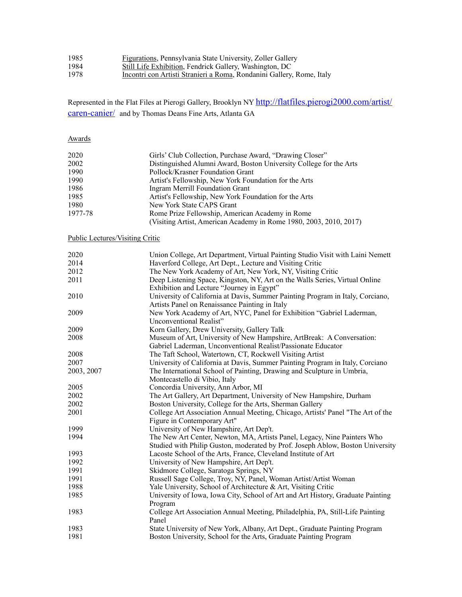| 1985 | <b>Figurations</b> , Pennsylvania State University, Zoller Gallery |  |
|------|--------------------------------------------------------------------|--|
|------|--------------------------------------------------------------------|--|

- **Still Life Exhibition**, Fendrick Gallery, Washington, DC
- Incontri con Artisti Stranieri a Roma, Rondanini Gallery, Rome, Italy

Represented in the Flat Files at Pierogi Gallery, Brooklyn NY [http://flatfiles.pierogi2000.com/artist/](http://flatfiles.pierogi2000.com/artist/caren-canier/) [caren-canier/](http://flatfiles.pierogi2000.com/artist/caren-canier/) and by Thomas Deans Fine Arts, Atlanta GA

# Awards

| 2020    | Girls' Club Collection, Purchase Award, "Drawing Closer"           |  |
|---------|--------------------------------------------------------------------|--|
| 2002    | Distinguished Alumni Award, Boston University College for the Arts |  |
| 1990    | Pollock/Krasner Foundation Grant                                   |  |
| 1990    | Artist's Fellowship, New York Foundation for the Arts              |  |
| 1986    | Ingram Merrill Foundation Grant                                    |  |
| 1985    | Artist's Fellowship, New York Foundation for the Arts              |  |
| 1980    | New York State CAPS Grant                                          |  |
| 1977-78 | Rome Prize Fellowship, American Academy in Rome                    |  |
|         | (Visiting Artist, American Academy in Rome 1980, 2003, 2010, 2017) |  |

## Public Lectures/Visiting Critic

| 2020       | Union College, Art Department, Virtual Painting Studio Visit with Laini Nemett  |
|------------|---------------------------------------------------------------------------------|
| 2014       | Haverford College, Art Dept., Lecture and Visiting Critic                       |
| 2012       | The New York Academy of Art, New York, NY, Visiting Critic                      |
| 2011       | Deep Listening Space, Kingston, NY, Art on the Walls Series, Virtual Online     |
|            | Exhibition and Lecture "Journey in Egypt"                                       |
| 2010       | University of California at Davis, Summer Painting Program in Italy, Corciano,  |
|            | Artists Panel on Renaissance Painting in Italy                                  |
| 2009       | New York Academy of Art, NYC, Panel for Exhibition "Gabriel Laderman,           |
|            | Unconventional Realist"                                                         |
| 2009       | Korn Gallery, Drew University, Gallery Talk                                     |
| 2008       | Museum of Art, University of New Hampshire, ArtBreak: A Conversation:           |
|            | Gabriel Laderman, Unconventional Realist/Passionate Educator                    |
| 2008       | The Taft School, Watertown, CT, Rockwell Visiting Artist                        |
| 2007       | University of California at Davis, Summer Painting Program in Italy, Corciano   |
| 2003, 2007 | The International School of Painting, Drawing and Sculpture in Umbria,          |
|            | Montecastello di Vibio, Italy                                                   |
| 2005       | Concordia University, Ann Arbor, MI                                             |
| 2002       | The Art Gallery, Art Department, University of New Hampshire, Durham            |
| 2002       | Boston University, College for the Arts, Sherman Gallery                        |
| 2001       | College Art Association Annual Meeting, Chicago, Artists' Panel "The Art of the |
|            | Figure in Contemporary Art"                                                     |
| 1999       | University of New Hampshire, Art Dep't.                                         |
| 1994       | The New Art Center, Newton, MA, Artists Panel, Legacy, Nine Painters Who        |
|            | Studied with Philip Guston, moderated by Prof. Joseph Ablow, Boston University  |
| 1993       | Lacoste School of the Arts, France, Cleveland Institute of Art                  |
| 1992       | University of New Hampshire, Art Dep't.                                         |
| 1991       | Skidmore College, Saratoga Springs, NY                                          |
| 1991       | Russell Sage College, Troy, NY, Panel, Woman Artist/Artist Woman                |
| 1988       | Yale University, School of Architecture & Art, Visiting Critic                  |
| 1985       | University of Iowa, Iowa City, School of Art and Art History, Graduate Painting |
|            | Program                                                                         |
| 1983       | College Art Association Annual Meeting, Philadelphia, PA, Still-Life Painting   |
|            | Panel                                                                           |
| 1983       | State University of New York, Albany, Art Dept., Graduate Painting Program      |
| 1981       | Boston University, School for the Arts, Graduate Painting Program               |
|            |                                                                                 |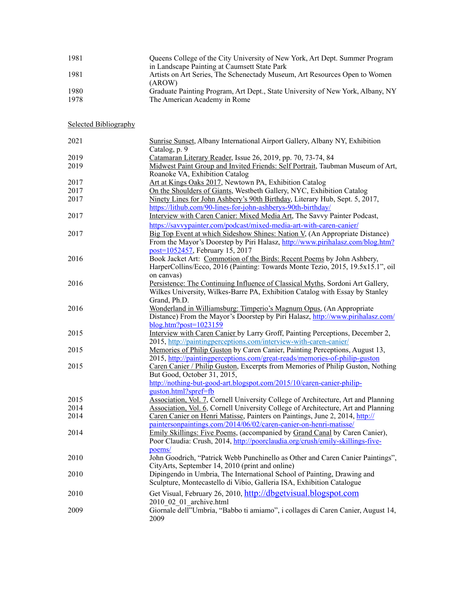| 1981 | Queens College of the City University of New York, Art Dept. Summer Program          |
|------|--------------------------------------------------------------------------------------|
|      | in Landscape Painting at Caumsett State Park                                         |
| 1981 | Artists on Art Series, The Schenectady Museum, Art Resources Open to Women<br>(AROW) |
| 1980 | Graduate Painting Program, Art Dept., State University of New York, Albany, NY       |
| 1978 | The American Academy in Rome                                                         |

## Selected Bibliography

| 2021 | Sunrise Sunset, Albany International Airport Gallery, Albany NY, Exhibition                  |
|------|----------------------------------------------------------------------------------------------|
| 2019 | Catalog, p. 9                                                                                |
|      | Catamaran Literary Reader, Issue 26, 2019, pp. 70, 73-74, 84                                 |
| 2019 | Midwest Paint Group and Invited Friends: Self Portrait, Taubman Museum of Art,               |
|      | Roanoke VA, Exhibition Catalog                                                               |
| 2017 | Art at Kings Oaks 2017, Newtown PA, Exhibition Catalog                                       |
| 2017 | On the Shoulders of Giants, Westbeth Gallery, NYC, Exhibition Catalog                        |
| 2017 | Ninety Lines for John Ashbery's 90th Birthday, Literary Hub, Sept. 5, 2017,                  |
|      | https://lithub.com/90-lines-for-john-ashberys-90th-birthday/                                 |
| 2017 | Interview with Caren Canier: Mixed Media Art, The Savvy Painter Podcast,                     |
|      | https://savvypainter.com/podcast/mixed-media-art-with-caren-canier/                          |
| 2017 | Big Top Event at which Sideshow Shines: Nation V, (An Appropriate Distance)                  |
|      | From the Mayor's Doorstep by Piri Halasz, http://www.pirihalasz.com/blog.htm?                |
|      | post=1052457, February 15, 2017                                                              |
| 2016 | Book Jacket Art: Commotion of the Birds: Recent Poems by John Ashbery,                       |
|      | HarperCollins/Ecco, 2016 (Painting: Towards Monte Tezio, 2015, 19.5x15.1", oil               |
|      | on canvas)                                                                                   |
| 2016 | Persistence: The Continuing Influence of Classical Myths, Sordoni Art Gallery,               |
|      | Wilkes University, Wilkes-Barre PA, Exhibition Catalog with Essay by Stanley<br>Grand, Ph.D. |
| 2016 | Wonderland in Williamsburg: Timperio's Magnum Opus, (An Appropriate                          |
|      | Distance) From the Mayor's Doorstep by Piri Halasz, http://www.pirihalasz.com/               |
|      | $blog.htm?post=1023159$                                                                      |
| 2015 | Interview with Caren Canier by Larry Groff, Painting Perceptions, December 2,                |
|      | 2015, http://paintingperceptions.com/interview-with-caren-canier/                            |
| 2015 | Memories of Philip Guston by Caren Canier, Painting Perceptions, August 13,                  |
|      | 2015, http://paintingperceptions.com/great-reads/memories-of-philip-guston                   |
| 2015 | Caren Canier / Philip Guston, Excerpts from Memories of Philip Guston, Nothing               |
|      | But Good, October 31, 2015,                                                                  |
|      | http://nothing-but-good-art.blogspot.com/2015/10/caren-canier-philip-                        |
|      | guston.html?spref=fb                                                                         |
| 2015 | Association, Vol. 7, Cornell University College of Architecture, Art and Planning            |
| 2014 | Association, Vol. 6, Cornell University College of Architecture, Art and Planning            |
| 2014 | Caren Canier on Henri Matisse, Painters on Paintings, June 2, 2014, http://                  |
|      | paintersonpaintings.com/2014/06/02/caren-canier-on-henri-matisse/                            |
| 2014 | Emily Skillings: Five Poems, (accompanied by Grand Canal by Caren Canier),                   |
|      | Poor Claudia: Crush, 2014, http://poorclaudia.org/crush/emily-skillings-five-                |
|      | poems/                                                                                       |
| 2010 | John Goodrich, "Patrick Webb Punchinello as Other and Caren Canier Paintings",               |
|      | CityArts, September 14, 2010 (print and online)                                              |
| 2010 | Dipingendo in Umbria, The International School of Painting, Drawing and                      |
|      | Sculpture, Montecastello di Vibio, Galleria ISA, Exhibition Catalogue                        |
| 2010 | Get Visual, February 26, 2010, http://dbgetvisual.blogspot.com                               |
|      | 2010 02 01 archive.html                                                                      |
| 2009 | Giornale dell''Umbria, "Babbo ti amiamo", i collages di Caren Canier, August 14,             |
|      | 2009                                                                                         |
|      |                                                                                              |